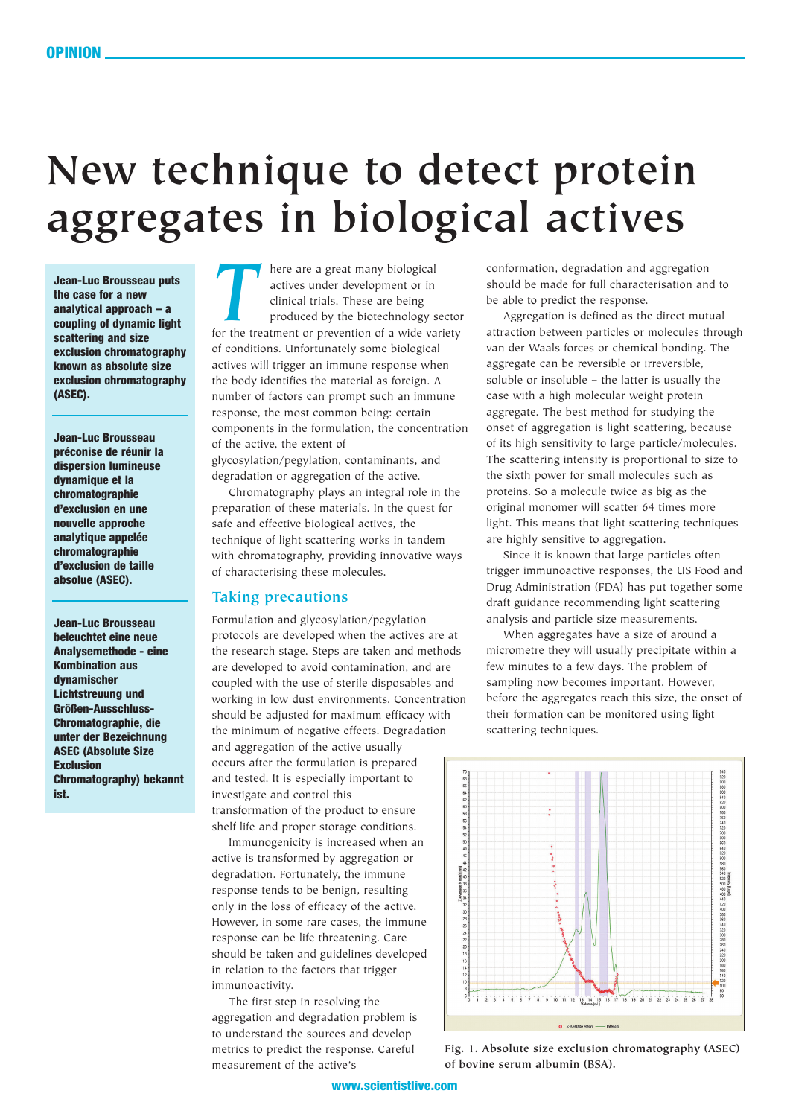## **New technique to detect protein aggregates in biological actives**

**Jean-Luc Brousseau puts the case for a new analytical approach – a coupling of dynamic light scattering and size exclusion chromatography known as absolute size exclusion chromatography (ASEC).**

**Jean-Luc Brousseau préconise de réunir la dispersion lumineuse dynamique et la chromatographie d'exclusion en une nouvelle approche analytique appelée chromatographie d'exclusion de taille absolue (ASEC).**

**Jean-Luc Brousseau beleuchtet eine neue Analysemethode - eine Kombination aus dynamischer Lichtstreuung und Größen-Ausschluss-Chromatographie, die unter der Bezeichnung ASEC (Absolute Size Exclusion Chromatography) bekannt ist.**

**THERE ARE A GET A THEORY ARE A GET A THEORY AND THE CONTROLLER SURFERING A SURFERING SURFERING SURFERING SURFERING SURFERING SURFERING SURFERING SURFERING SURFERING SURFERING SURFERING SURFERING SURFERING SURFERING SURFER** actives under development or in clinical trials. These are being produced by the biotechnology sector of conditions. Unfortunately some biological actives will trigger an immune response when the body identifies the material as foreign. A number of factors can prompt such an immune response, the most common being: certain components in the formulation, the concentration of the active, the extent of

glycosylation/pegylation, contaminants, and degradation or aggregation of the active.

Chromatography plays an integral role in the preparation of these materials. In the quest for safe and effective biological actives, the technique of light scattering works in tandem with chromatography, providing innovative ways of characterising these molecules.

## **Taking precautions**

Formulation and glycosylation/pegylation protocols are developed when the actives are at the research stage. Steps are taken and methods are developed to avoid contamination, and are coupled with the use of sterile disposables and working in low dust environments. Concentration should be adjusted for maximum efficacy with the minimum of negative effects. Degradation and aggregation of the active usually occurs after the formulation is prepared and tested. It is especially important to investigate and control this transformation of the product to ensure shelf life and proper storage conditions.

Immunogenicity is increased when an active is transformed by aggregation or degradation. Fortunately, the immune response tends to be benign, resulting only in the loss of efficacy of the active. However, in some rare cases, the immune response can be life threatening. Care should be taken and guidelines developed in relation to the factors that trigger immunoactivity.

The first step in resolving the aggregation and degradation problem is to understand the sources and develop metrics to predict the response. Careful measurement of the active's

conformation, degradation and aggregation should be made for full characterisation and to be able to predict the response.

Aggregation is defined as the direct mutual attraction between particles or molecules through van der Waals forces or chemical bonding. The aggregate can be reversible or irreversible, soluble or insoluble – the latter is usually the case with a high molecular weight protein aggregate. The best method for studying the onset of aggregation is light scattering, because of its high sensitivity to large particle/molecules. The scattering intensity is proportional to size to the sixth power for small molecules such as proteins. So a molecule twice as big as the original monomer will scatter 64 times more light. This means that light scattering techniques are highly sensitive to aggregation.

Since it is known that large particles often trigger immunoactive responses, the US Food and Drug Administration (FDA) has put together some draft guidance recommending light scattering analysis and particle size measurements.

When aggregates have a size of around a micrometre they will usually precipitate within a few minutes to a few days. The problem of sampling now becomes important. However, before the aggregates reach this size, the onset of their formation can be monitored using light scattering techniques.



**Fig. 1. Absolute size exclusion chromatography (ASEC) of bovine serum albumin (BSA).**